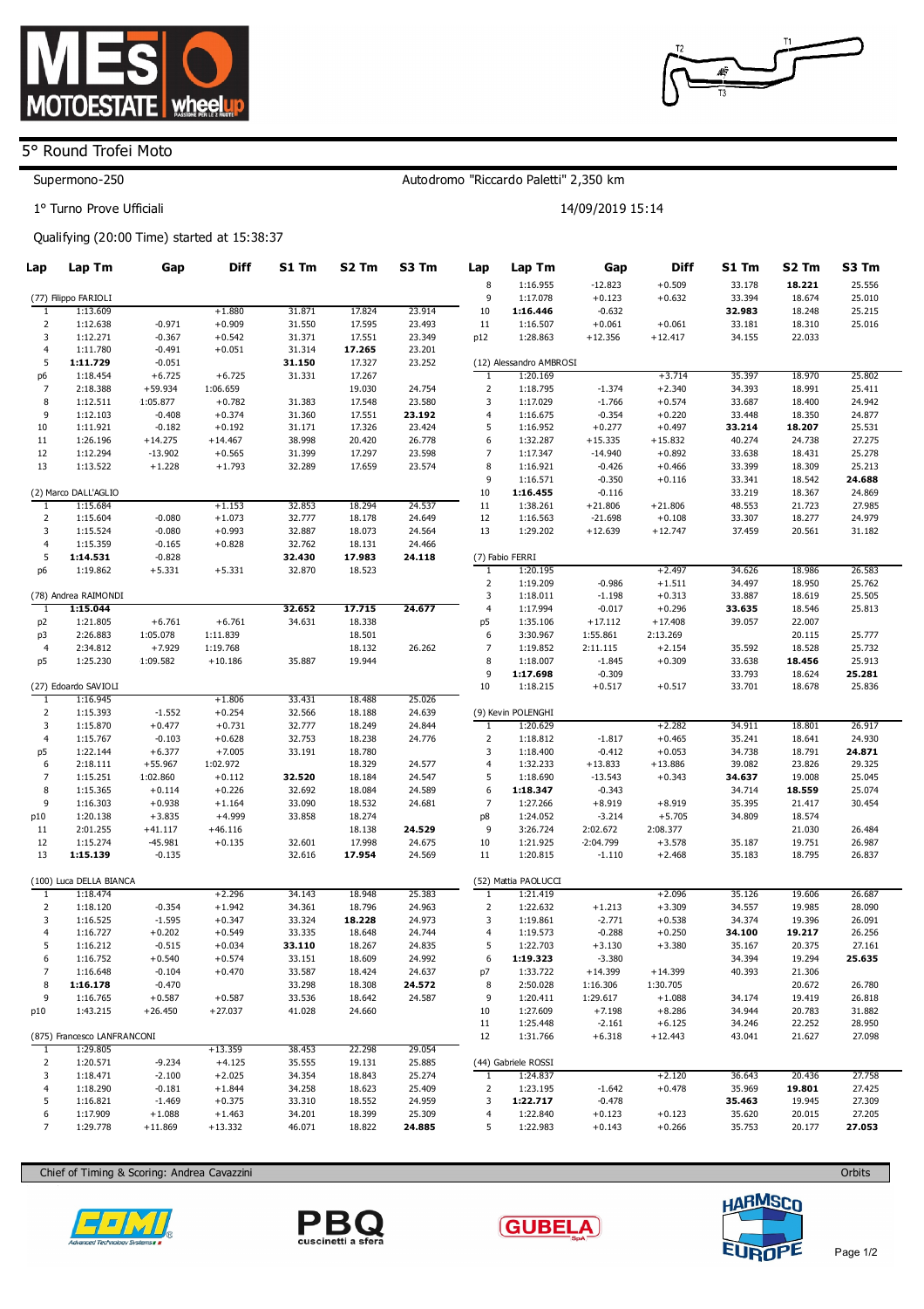

## 5° Round Trofei Moto

## Supermono-250

1° Turno Prove Ufficiali

## Qualifying (20:00 Time) started at 15:38:37

| Lap                 | Lap Tm                                                                | Gap                   | <b>Diff</b>          | S1 Tm            | S <sub>2</sub> Tm | S3 Tm            | Lap                            | Lap Tm                  | Gap                  | <b>Diff</b>           | S1 Tm            | S <sub>2</sub> Tm | S3 Tm            |  |
|---------------------|-----------------------------------------------------------------------|-----------------------|----------------------|------------------|-------------------|------------------|--------------------------------|-------------------------|----------------------|-----------------------|------------------|-------------------|------------------|--|
|                     |                                                                       |                       |                      |                  |                   |                  | 8                              | 1:16.955                | $-12.823$            | $+0.509$              | 33.178           | 18.221            | 25.556           |  |
|                     | (77) Filippo FARIOLI                                                  |                       |                      |                  |                   |                  | 9                              | 1:17.078                | $+0.123$             | $+0.632$              | 33.394           | 18.674            | 25.010           |  |
| 1                   | 1:13.609                                                              |                       | $+1.880$             | 31.871           | 17.824            | 23.914           | 10                             | 1:16.446                | $-0.632$             |                       | 32.983           | 18.248            | 25.215           |  |
| $\overline{2}$      | 1:12.638                                                              | $-0.971$              | $+0.909$             | 31.550           | 17.595            | 23.493           | 11                             | 1:16.507                | $+0.061$             | $+0.061$              | 33.181           | 18.310            | 25.016           |  |
| 3                   | 1:12.271                                                              | $-0.367$              | $+0.542$             | 31.371           | 17.551            | 23.349           | p12                            | 1:28.863                | $+12.356$            | $+12.417$             | 34.155           | 22.033            |                  |  |
| 4                   | 1:11.780                                                              | $-0.491$              | $+0.051$             | 31.314           | 17.265            | 23.201           |                                |                         |                      |                       |                  |                   |                  |  |
| 5                   | 1:11.729                                                              | $-0.051$              |                      | 31.150           | 17.327            | 23.252           |                                | (12) Alessandro AMBROSI |                      |                       |                  |                   |                  |  |
| p6                  | 1:18.454                                                              | $+6.725$              | $+6.725$             | 31.331           | 17.267            |                  | $\mathbf{1}$<br>$\overline{2}$ | 1:20.169                |                      | $+3.714$              | 35.397           | 18.970            | 25.802           |  |
| $\overline{7}$<br>8 | 2:18.388                                                              | $+59.934$<br>1:05.877 | 1:06.659<br>$+0.782$ |                  | 19.030<br>17.548  | 24.754<br>23.580 | 3                              | 1:18.795<br>1:17.029    | $-1.374$<br>$-1.766$ | $+2.340$<br>$+0.574$  | 34.393<br>33.687 | 18.991<br>18.400  | 25.411<br>24.942 |  |
| 9                   | 1:12.511<br>1:12.103                                                  | $-0.408$              | $+0.374$             | 31.383<br>31.360 | 17.551            | 23.192           | $\overline{a}$                 | 1:16.675                | $-0.354$             | $+0.220$              | 33.448           | 18.350            | 24.877           |  |
| 10                  | 1:11.921                                                              | $-0.182$              | $+0.192$             | 31.171           | 17.326            | 23.424           | 5                              | 1:16.952                | $+0.277$             | $+0.497$              | 33.214           | 18.207            | 25.531           |  |
| 11                  | 1:26.196                                                              | $+14.275$             | $+14.467$            | 38.998           | 20.420            | 26.778           | 6                              | 1:32.287                | $+15.335$            | $+15.832$             | 40.274           | 24.738            | 27.275           |  |
| 12                  | 1:12.294                                                              | $-13.902$             | $+0.565$             | 31.399           | 17.297            | 23.598           | 7                              | 1:17.347                | $-14.940$            | $+0.892$              | 33.638           | 18.431            | 25.278           |  |
| 13                  | 1:13.522                                                              | $+1.228$              | $+1.793$             | 32.289           | 17.659            | 23.574           | 8                              | 1:16.921                | $-0.426$             | $+0.466$              | 33.399           | 18.309            | 25.213           |  |
|                     |                                                                       |                       |                      |                  |                   |                  | 9                              | 1:16.571                | $-0.350$             | $+0.116$              | 33.341           | 18.542            | 24.688           |  |
|                     | (2) Marco DALL'AGLIO                                                  |                       |                      |                  |                   |                  | 10                             | 1:16.455                | $-0.116$             |                       | 33.219           | 18.367            | 24.869           |  |
| 1                   | 1:15.684                                                              |                       | $+1.153$             | 32.853           | 18.294            | 24.537           | 11                             | 1:38.261                | $+21.806$            | $+21.806$             | 48.553           | 21.723            | 27.985           |  |
| 2                   | 1:15.604                                                              | $-0.080$              | $+1.073$             | 32.777           | 18.178            | 24.649           | 12                             | 1:16.563                | $-21.698$            | $+0.108$              | 33.307           | 18.277            | 24.979           |  |
| 3                   | 1:15.524                                                              | $-0.080$              | $+0.993$             | 32.887           | 18.073            | 24.564           | 13                             | 1:29.202                | $+12.639$            | $+12.747$             | 37.459           | 20.561            | 31.182           |  |
| 4                   | 1:15.359                                                              | $-0.165$              | $+0.828$             | 32.762           | 18.131            | 24.466           |                                |                         |                      |                       |                  |                   |                  |  |
| 5                   | 32.430<br>1:14.531<br>$-0.828$<br>17.983<br>24.118<br>(7) Fabio FERRI |                       |                      |                  |                   |                  |                                |                         |                      |                       |                  |                   |                  |  |
| p6                  | 1:19.862                                                              | $+5.331$              | $+5.331$             | 32.870           | 18.523            |                  | 1                              | 1:20.195                |                      | $+2.497$              | 34.626           | 18.986            | 26.583           |  |
|                     |                                                                       |                       |                      |                  |                   |                  | $\overline{2}$                 | 1:19.209                | $-0.986$             | $+1.511$              | 34.497           | 18.950            | 25.762           |  |
|                     | (78) Andrea RAIMONDI                                                  |                       |                      |                  |                   |                  | 3                              | 1:18.011                | $-1.198$             | $+0.313$              | 33.887           | 18.619            | 25.505           |  |
| -1                  | 1:15.044                                                              |                       |                      | 32.652           | 17.715            | 24.677           | $\overline{4}$                 | 1:17.994                | $-0.017$             | $+0.296$              | 33.635           | 18.546            | 25.813           |  |
| p2                  | 1:21.805                                                              | $+6.761$              | $+6.761$             | 34.631           | 18.338            |                  | p <sub>5</sub>                 | 1:35.106                | $+17.112$            | $+17.408$             | 39.057           | 22.007            |                  |  |
| p3                  | 2:26.883                                                              | 1:05.078              | 1:11.839             |                  | 18.501            |                  | 6                              | 3:30.967                | 1:55.861             | 2:13.269              |                  | 20.115            | 25.777           |  |
| $\overline{4}$      | 2:34.812                                                              | $+7.929$              | 1:19.768             |                  | 18.132            | 26.262           | $\overline{7}$                 | 1:19.852                | 2:11.115             | $+2.154$              | 35.592           | 18.528            | 25.732           |  |
| p5                  | 1:25.230                                                              | 1:09.582              | $+10.186$            | 35.887           | 19.944            |                  | 8                              | 1:18.007                | $-1.845$             | $+0.309$              | 33.638           | 18.456            | 25.913           |  |
|                     |                                                                       |                       |                      |                  |                   |                  | 9                              | 1:17.698                | $-0.309$             |                       | 33.793           | 18.624            | 25.281           |  |
|                     | (27) Edoardo SAVIOLI                                                  |                       |                      |                  |                   |                  | 10                             | 1:18.215                | $+0.517$             | $+0.517$              | 33.701           | 18.678            | 25.836           |  |
| 1                   | 1:16.945                                                              |                       | $+1.806$             | 33.431           | 18.488            | 25.026           |                                |                         |                      |                       |                  |                   |                  |  |
| $\overline{2}$      | 1:15.393                                                              | $-1.552$              | $+0.254$             | 32.566           | 18.188            | 24.639           |                                | (9) Kevin POLENGHI      |                      |                       |                  |                   |                  |  |
| 3<br>$\overline{4}$ | 1:15.870<br>1:15.767                                                  | $+0.477$<br>$-0.103$  | $+0.731$             | 32.777           | 18.249            | 24.844           | $\mathbf{1}$                   | 1:20.629                |                      | $+2.282$              | 34.911           | 18.801            | 26.917           |  |
| p5                  | 1:22.144                                                              | $+6.377$              | $+0.628$<br>$+7.005$ | 32.753<br>33.191 | 18.238<br>18.780  | 24.776           | $\overline{2}$<br>$\mathsf 3$  | 1:18.812<br>1:18.400    | $-1.817$<br>$-0.412$ | $+0.465$<br>$+0.053$  | 35.241<br>34.738 | 18.641<br>18.791  | 24.930<br>24.871 |  |
| 6                   | 2:18.111                                                              | $+55.967$             | 1:02.972             |                  | 18.329            | 24.577           | $\overline{4}$                 | 1:32.233                | $+13.833$            | $+13.886$             | 39.082           | 23.826            | 29.325           |  |
| 7                   | 1:15.251                                                              | 1:02.860              | $+0.112$             | 32.520           | 18.184            | 24.547           | 5                              | 1:18.690                | $-13.543$            | $+0.343$              | 34.637           | 19.008            | 25.045           |  |
| 8                   | 1:15.365                                                              | $+0.114$              | $+0.226$             | 32.692           | 18.084            | 24.589           | 6                              | 1:18.347                | $-0.343$             |                       | 34.714           | 18.559            | 25.074           |  |
| 9                   | 1:16.303                                                              | $+0.938$              | $+1.164$             | 33.090           | 18.532            | 24.681           | 7                              | 1:27.266                | $+8.919$             | $+8.919$              | 35.395           | 21.417            | 30.454           |  |
| p10                 | 1:20.138                                                              | $+3.835$              | $+4.999$             | 33.858           | 18.274            |                  | p8                             | 1:24.052                | $-3.214$             | $+5.705$              | 34.809           | 18.574            |                  |  |
| 11                  | 2:01.255                                                              | $+41.117$             | $+46.116$            |                  | 18.138            | 24.529           | 9                              | 3:26.724                | 2:02.672             | 2:08.377              |                  | 21.030            | 26.484           |  |
| 12                  | 1:15.274                                                              | $-45.981$             | $+0.135$             | 32.601           | 17.998            | 24.675           | 10                             | 1:21.925                | $-2:04.799$          | $+3.578$              | 35.187           | 19.751            | 26.987           |  |
| 13                  | 1:15.139                                                              | $-0.135$              |                      | 32.616           | 17.954            | 24.569           | 11                             | 1:20.815                | $-1.110$             | $+2.468$              | 35.183           | 18.795            | 26.837           |  |
|                     |                                                                       |                       |                      |                  |                   |                  |                                |                         |                      |                       |                  |                   |                  |  |
|                     | (100) Luca DELLA BIANCA                                               |                       |                      |                  |                   |                  |                                | (52) Mattia PAOLUCCI    |                      |                       |                  |                   |                  |  |
| $\mathbf{1}$        | 1:18.474                                                              |                       | $+2.296$             | 34.143           | 18.948            | 25.383           | $\mathbf{I}$                   | 1:21.419                |                      | $+2.096$              | 35.126           | 19.606            | 26.687           |  |
| $\overline{2}$      | 1:18.120                                                              | $-0.354$              | $+1.942$             | 34.361           | 18.796            | 24.963           | $\overline{2}$                 | 1:22.632                | $+1.213$             | $+3.309$              | 34.557           | 19.985            | 28.090           |  |
| 3                   | 1:16.525                                                              | $-1.595$              | $+0.347$             | 33.324           | 18.228            | 24.973           | 3                              | 1:19.861                | $-2.771$             | $+0.538$              | 34.374           | 19.396            | 26.091           |  |
| 4                   | 1:16.727                                                              | $+0.202$              | $+0.549$             | 33.335           | 18.648            | 24.744           | 4                              | 1:19.573                | $-0.288$             | $+0.250$              | 34.100           | 19.217            | 26.256           |  |
| 5                   | 1:16.212                                                              | $-0.515$              | $+0.034$             | 33.110           | 18.267            | 24.835           | 5                              | 1:22.703                | $+3.130$             | $+3.380$              | 35.167           | 20.375            | 27.161           |  |
| 6                   | 1:16.752                                                              | $+0.540$              | $+0.574$             | 33.151           | 18.609            | 24.992           | 6                              | 1:19.323                | $-3.380$             |                       | 34.394           | 19.294            | 25.635           |  |
| 7                   | 1:16.648                                                              | $-0.104$              | $+0.470$             | 33.587           | 18.424            | 24.637           | p7                             | 1:33.722                | $+14.399$            | $+14.399$             | 40.393           | 21.306            |                  |  |
| 8                   | 1:16.178                                                              | $-0.470$              |                      | 33.298           | 18.308            | 24.572           | 8                              | 2:50.028                | 1:16.306             | 1:30.705              |                  | 20.672            | 26.780           |  |
| 9                   | 1:16.765                                                              | $+0.587$              | $+0.587$             | 33.536           | 18.642            | 24.587           | 9                              | 1:20.411                | 1:29.617             | $+1.088$              | 34.174           | 19.419            | 26.818           |  |
| p10                 | 1:43.215                                                              | $+26.450$             | $+27.037$            | 41.028           | 24.660            |                  | 10                             | 1:27.609                | $+7.198$             | $+8.286$              | 34.944           | 20.783            | 31.882           |  |
|                     | (875) Francesco LANFRANCONI                                           |                       |                      |                  |                   |                  | 11<br>12                       | 1:25.448<br>1:31.766    | $-2.161$<br>$+6.318$ | $+6.125$<br>$+12.443$ | 34.246<br>43.041 | 22.252<br>21.627  | 28.950<br>27.098 |  |
| 1                   | 1:29.805                                                              |                       | $+13.359$            | 38.453           | 22.298            | 29.054           |                                |                         |                      |                       |                  |                   |                  |  |
| $\overline{2}$      | 1:20.571                                                              | $-9.234$              | $+4.125$             | 35.555           | 19.131            | 25.885           |                                | (44) Gabriele ROSSI     |                      |                       |                  |                   |                  |  |
| 3                   | 1:18.471                                                              | $-2.100$              | $+2.025$             | 34.354           | 18.843            | 25.274           | $\mathbf{1}$                   | 1:24.837                |                      | $+2.120$              | 36.643           | 20.436            | 27.758           |  |
| $\overline{4}$      | 1:18.290                                                              | $-0.181$              | $+1.844$             | 34.258           | 18.623            | 25.409           | $\overline{2}$                 | 1:23.195                | $-1.642$             | $+0.478$              | 35.969           | 19.801            | 27.425           |  |
| 5                   | 1:16.821                                                              | $-1.469$              | $+0.375$             | 33.310           | 18.552            | 24.959           | 3                              | 1:22.717                | $-0.478$             |                       | 35.463           | 19.945            | 27.309           |  |
| 6                   | 1:17.909                                                              | $+1.088$              | $+1.463$             | 34.201           | 18.399            | 25.309           | 4                              | 1:22.840                | $+0.123$             | $+0.123$              | 35.620           | 20.015            | 27.205           |  |
| $\overline{7}$      | 1:29.778                                                              | $+11.869$             | $+13.332$            | 46.071           | 18.822            | 24.885           | 5                              | 1:22.983                | $+0.143$             | $+0.266$              | 35.753           | 20.177            | 27.053           |  |
|                     |                                                                       |                       |                      |                  |                   |                  |                                |                         |                      |                       |                  |                   |                  |  |

Chief of Timing & Scoring: Andrea Cavazzini









Orbits



Autodromo "Riccardo Paletti" 2,350 km

14/09/2019 15:14